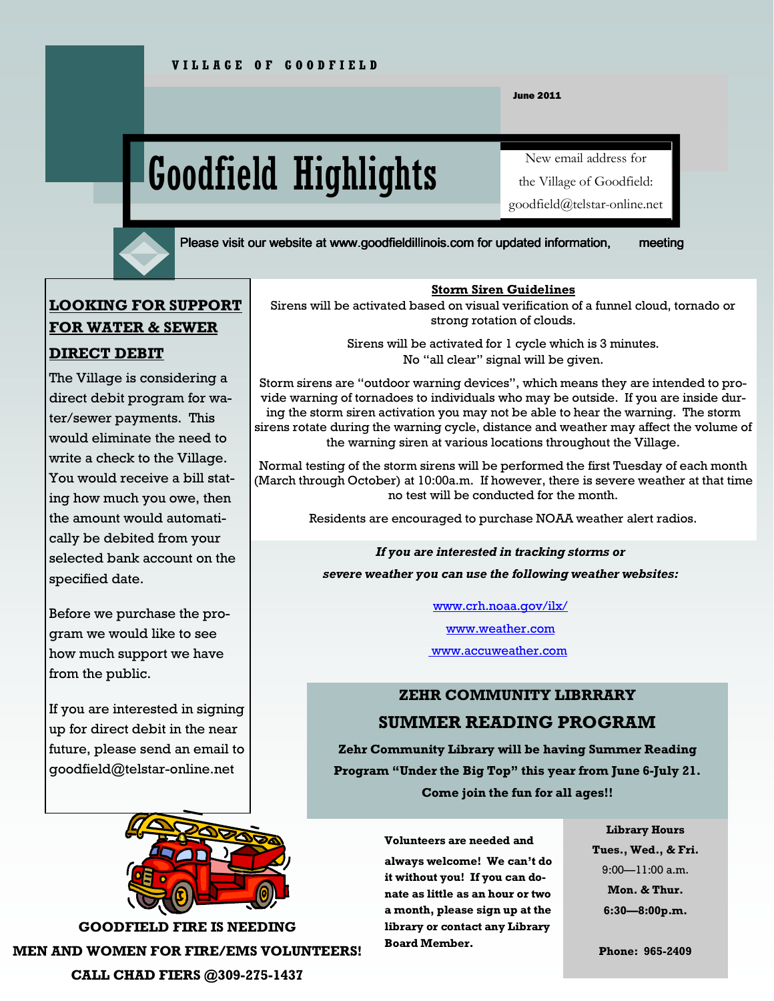June 2011

# Goodfield Highlights

New email address for

the Village of Goodfield:

goodfield@telstar-online.net

Please visit our website at www.goodfieldillinois.com for updated information, meeting

# LOOKING FOR SUPPORT FOR WATER & SEWER

# DIRECT DEBIT

The Village is considering a direct debit program for water/sewer payments. This would eliminate the need to write a check to the Village. You would receive a bill stating how much you owe, then the amount would automatically be debited from your selected bank account on the specified date.

Before we purchase the program we would like to see how much support we have from the public.

If you are interested in signing up for direct debit in the near future, please send an email to goodfield@telstar-online.net



GOODFIELD FIRE IS NEEDING MEN AND WOMEN FOR FIRE/EMS VOLUNTEERS! CALL CHAD FIERS @309-275-1437

#### Storm Siren Guidelines

Sirens will be activated based on visual verification of a funnel cloud, tornado or strong rotation of clouds.

> Sirens will be activated for 1 cycle which is 3 minutes. No "all clear" signal will be given.

Storm sirens are "outdoor warning devices", which means they are intended to provide warning of tornadoes to individuals who may be outside. If you are inside during the storm siren activation you may not be able to hear the warning. The storm sirens rotate during the warning cycle, distance and weather may affect the volume of the warning siren at various locations throughout the Village.

Normal testing of the storm sirens will be performed the first Tuesday of each month (March through October) at 10:00a.m. If however, there is severe weather at that time no test will be conducted for the month.

Residents are encouraged to purchase NOAA weather alert radios.

If you are interested in tracking storms or severe weather you can use the following weather websites:

www.crh.noaa.gov/ilx/

www.weather.com

www.accuweather.com

# ZEHR COMMUNITY LIBRRARY SUMMER READING PROGRAM

Zehr Community Library will be having Summer Reading Program "Under the Big Top" this year from June 6-July 21. Come join the fun for all ages!!

#### Volunteers are needed and

always welcome! We can't do it without you! If you can donate as little as an hour or two a month, please sign up at the library or contact any Library Board Member.

#### Library Hours

Tues., Wed., & Fri. 9:00—11:00 a.m. Mon. & Thur. 6:30—8:00p.m.

Phone: 965-2409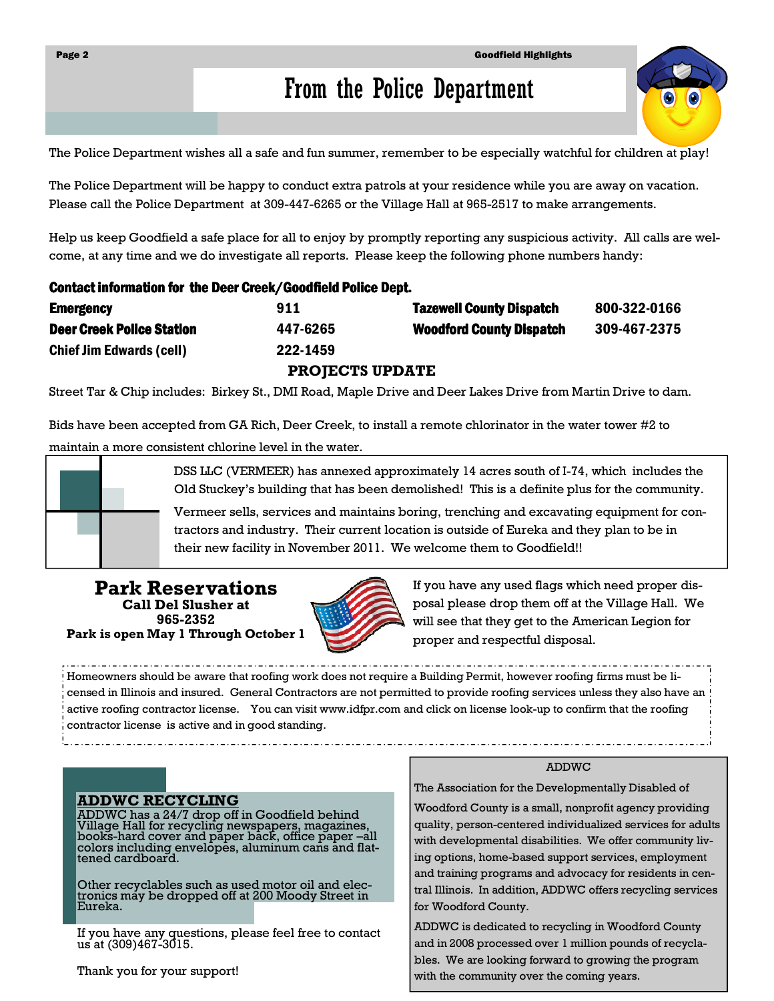# From the Police Department

The Police Department wishes all a safe and fun summer, remember to be especially watchful for children at play!

The Police Department will be happy to conduct extra patrols at your residence while you are away on vacation. Please call the Police Department at 309-447-6265 or the Village Hall at 965-2517 to make arrangements.

Help us keep Goodfield a safe place for all to enjoy by promptly reporting any suspicious activity. All calls are welcome, at any time and we do investigate all reports. Please keep the following phone numbers handy:

#### Contact information for the Deer Creek/Goodfield Police Dept.

| <b>Emergency</b>                 | 911      | <b>Tazewell County Dispatch</b> | 800-322-0166 |
|----------------------------------|----------|---------------------------------|--------------|
| <b>Deer Creek Police Station</b> | 447-6265 | <b>Woodford County Dispatch</b> | 309-467-2375 |
| <b>Chief Jim Edwards (cell)</b>  | 222-1459 |                                 |              |

PROJECTS UPDATE

Street Tar & Chip includes: Birkey St., DMI Road, Maple Drive and Deer Lakes Drive from Martin Drive to dam.

Bids have been accepted from GA Rich, Deer Creek, to install a remote chlorinator in the water tower #2 to maintain a more consistent chlorine level in the water.



DSS LLC (VERMEER) has annexed approximately 14 acres south of I-74, which includes the Old Stuckey's building that has been demolished! This is a definite plus for the community.

Vermeer sells, services and maintains boring, trenching and excavating equipment for contractors and industry. Their current location is outside of Eureka and they plan to be in their new facility in November 2011. We welcome them to Goodfield!!

Park Reservations Call Del Slusher at 965-2352 Park is open May 1 Through October 1



If you have any used flags which need proper disposal please drop them off at the Village Hall. We will see that they get to the American Legion for proper and respectful disposal.

Homeowners should be aware that roofing work does not require a Building Permit, however roofing firms must be licensed in Illinois and insured. General Contractors are not permitted to provide roofing services unless they also have an active roofing contractor license. You can visit www.idfpr.com and click on license look-up to confirm that the roofing contractor license is active and in good standing.

#### ADDWC RECYCLING

ADDWC has a 24/7 drop off in Goodfield behind Village Hall for recycling newspapers, magazines, books-hard cover and paper back, office paper –all colors including envelopes, aluminum cans and flattened cardboard.

Other recyclables such as used motor oil and electronics may be dropped off at 200 Moody Street in Eureka.

If you have any questions, please feel free to contact us at (309)467-3015.

Thank you for your support!

#### ADDWC

The Association for the Developmentally Disabled of

Woodford County is a small, nonprofit agency providing quality, person-centered individualized services for adults with developmental disabilities. We offer community living options, home-based support services, employment and training programs and advocacy for residents in central Illinois. In addition, ADDWC offers recycling services for Woodford County.

ADDWC is dedicated to recycling in Woodford County and in 2008 processed over 1 million pounds of recyclables. We are looking forward to growing the program with the community over the coming years.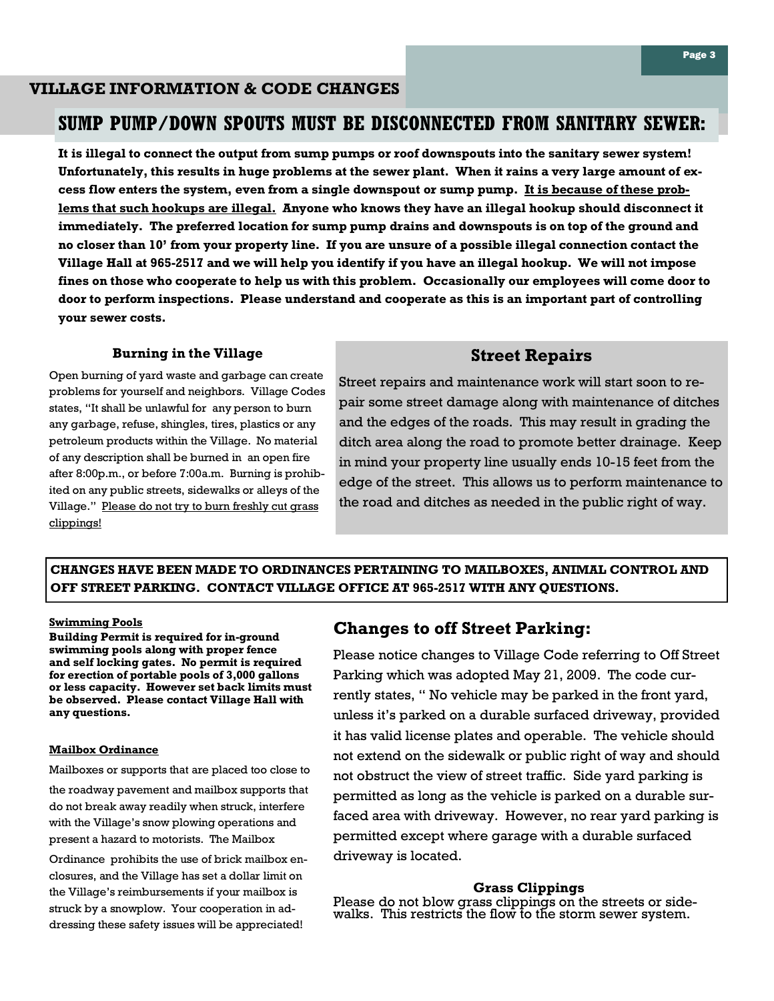#### VILLAGE INFORMATION & CODE CHANGES

### SUMP PUMP/DOWN SPOUTS MUST BE DISCONNECTED FROM SANITARY SEWER:

It is illegal to connect the output from sump pumps or roof downspouts into the sanitary sewer system! Unfortunately, this results in huge problems at the sewer plant. When it rains a very large amount of excess flow enters the system, even from a single downspout or sump pump. It is because of these problems that such hookups are illegal. Anyone who knows they have an illegal hookup should disconnect it immediately. The preferred location for sump pump drains and downspouts is on top of the ground and no closer than 10' from your property line. If you are unsure of a possible illegal connection contact the Village Hall at 965-2517 and we will help you identify if you have an illegal hookup. We will not impose fines on those who cooperate to help us with this problem. Occasionally our employees will come door to door to perform inspections. Please understand and cooperate as this is an important part of controlling your sewer costs.

#### Burning in the Village

Open burning of yard waste and garbage can create problems for yourself and neighbors. Village Codes states, "It shall be unlawful for any person to burn any garbage, refuse, shingles, tires, plastics or any petroleum products within the Village. No material of any description shall be burned in an open fire after 8:00p.m., or before 7:00a.m. Burning is prohibited on any public streets, sidewalks or alleys of the Village." Please do not try to burn freshly cut grass clippings!

#### Street Repairs

Street repairs and maintenance work will start soon to repair some street damage along with maintenance of ditches and the edges of the roads. This may result in grading the ditch area along the road to promote better drainage. Keep in mind your property line usually ends 10-15 feet from the edge of the street. This allows us to perform maintenance to the road and ditches as needed in the public right of way.

#### CHANGES HAVE BEEN MADE TO ORDINANCES PERTAINING TO MAILBOXES, ANIMAL CONTROL AND OFF STREET PARKING. CONTACT VILLAGE OFFICE AT 965-2517 WITH ANY QUESTIONS.

#### Swimming Pools

Building Permit is required for in-ground swimming pools along with proper fence and self locking gates. No permit is required for erection of portable pools of 3,000 gallons or less capacity. However set back limits must be observed. Please contact Village Hall with any questions.

#### Mailbox Ordinance

Mailboxes or supports that are placed too close to

the roadway pavement and mailbox supports that do not break away readily when struck, interfere with the Village's snow plowing operations and present a hazard to motorists. The Mailbox

Ordinance prohibits the use of brick mailbox enclosures, and the Village has set a dollar limit on the Village's reimbursements if your mailbox is struck by a snowplow. Your cooperation in addressing these safety issues will be appreciated!

#### Changes to off Street Parking:

Please notice changes to Village Code referring to Off Street Parking which was adopted May 21, 2009. The code currently states, " No vehicle may be parked in the front yard, unless it's parked on a durable surfaced driveway, provided it has valid license plates and operable. The vehicle should not extend on the sidewalk or public right of way and should not obstruct the view of street traffic. Side yard parking is permitted as long as the vehicle is parked on a durable surfaced area with driveway. However, no rear yard parking is permitted except where garage with a durable surfaced driveway is located.

#### Grass Clippings

Please do not blow grass clippings on the streets or sidewalks. This restricts the flow to the storm sewer system.